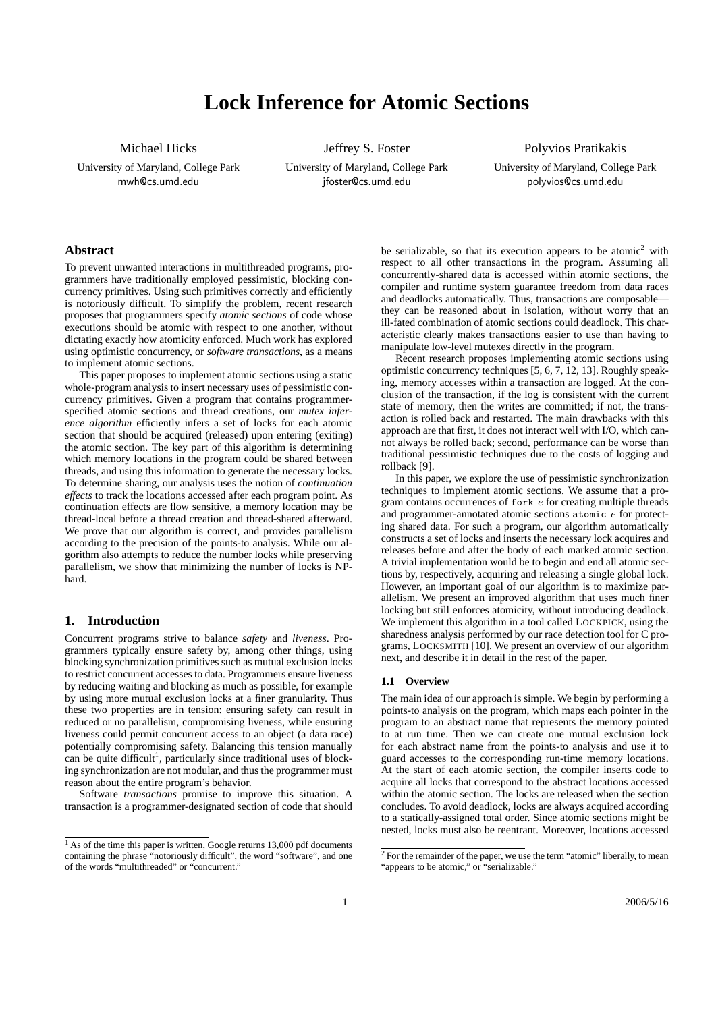# **Lock Inference for Atomic Sections**

Michael Hicks

University of Maryland, College Park mwh@cs.umd.edu

Jeffrey S. Foster

University of Maryland, College Park jfoster@cs.umd.edu

Polyvios Pratikakis

University of Maryland, College Park polyvios@cs.umd.edu

## **Abstract**

To prevent unwanted interactions in multithreaded programs, programmers have traditionally employed pessimistic, blocking concurrency primitives. Using such primitives correctly and efficiently is notoriously difficult. To simplify the problem, recent research proposes that programmers specify *atomic sections* of code whose executions should be atomic with respect to one another, without dictating exactly how atomicity enforced. Much work has explored using optimistic concurrency, or *software transactions*, as a means to implement atomic sections.

This paper proposes to implement atomic sections using a static whole-program analysis to insert necessary uses of pessimistic concurrency primitives. Given a program that contains programmerspecified atomic sections and thread creations, our *mutex inference algorithm* efficiently infers a set of locks for each atomic section that should be acquired (released) upon entering (exiting) the atomic section. The key part of this algorithm is determining which memory locations in the program could be shared between threads, and using this information to generate the necessary locks. To determine sharing, our analysis uses the notion of *continuation effects* to track the locations accessed after each program point. As continuation effects are flow sensitive, a memory location may be thread-local before a thread creation and thread-shared afterward. We prove that our algorithm is correct, and provides parallelism according to the precision of the points-to analysis. While our algorithm also attempts to reduce the number locks while preserving parallelism, we show that minimizing the number of locks is NPhard.

# **1. Introduction**

Concurrent programs strive to balance *safety* and *liveness*. Programmers typically ensure safety by, among other things, using blocking synchronization primitives such as mutual exclusion locks to restrict concurrent accesses to data. Programmers ensure liveness by reducing waiting and blocking as much as possible, for example by using more mutual exclusion locks at a finer granularity. Thus these two properties are in tension: ensuring safety can result in reduced or no parallelism, compromising liveness, while ensuring liveness could permit concurrent access to an object (a data race) potentially compromising safety. Balancing this tension manually can be quite difficult<sup>1</sup>, particularly since traditional uses of blocking synchronization are not modular, and thus the programmer must reason about the entire program's behavior.

Software *transactions* promise to improve this situation. A transaction is a programmer-designated section of code that should

be serializable, so that its execution appears to be atomic<sup>2</sup> with respect to all other transactions in the program. Assuming all concurrently-shared data is accessed within atomic sections, the compiler and runtime system guarantee freedom from data races and deadlocks automatically. Thus, transactions are composable they can be reasoned about in isolation, without worry that an ill-fated combination of atomic sections could deadlock. This characteristic clearly makes transactions easier to use than having to manipulate low-level mutexes directly in the program.

Recent research proposes implementing atomic sections using optimistic concurrency techniques [5, 6, 7, 12, 13]. Roughly speaking, memory accesses within a transaction are logged. At the conclusion of the transaction, if the log is consistent with the current state of memory, then the writes are committed; if not, the transaction is rolled back and restarted. The main drawbacks with this approach are that first, it does not interact well with I/O, which cannot always be rolled back; second, performance can be worse than traditional pessimistic techniques due to the costs of logging and rollback [9].

In this paper, we explore the use of pessimistic synchronization techniques to implement atomic sections. We assume that a program contains occurrences of fork e for creating multiple threads and programmer-annotated atomic sections atomic e for protecting shared data. For such a program, our algorithm automatically constructs a set of locks and inserts the necessary lock acquires and releases before and after the body of each marked atomic section. A trivial implementation would be to begin and end all atomic sections by, respectively, acquiring and releasing a single global lock. However, an important goal of our algorithm is to maximize parallelism. We present an improved algorithm that uses much finer locking but still enforces atomicity, without introducing deadlock. We implement this algorithm in a tool called LOCKPICK, using the sharedness analysis performed by our race detection tool for C programs, LOCKSMITH [10]. We present an overview of our algorithm next, and describe it in detail in the rest of the paper.

## **1.1 Overview**

The main idea of our approach is simple. We begin by performing a points-to analysis on the program, which maps each pointer in the program to an abstract name that represents the memory pointed to at run time. Then we can create one mutual exclusion lock for each abstract name from the points-to analysis and use it to guard accesses to the corresponding run-time memory locations. At the start of each atomic section, the compiler inserts code to acquire all locks that correspond to the abstract locations accessed within the atomic section. The locks are released when the section concludes. To avoid deadlock, locks are always acquired according to a statically-assigned total order. Since atomic sections might be nested, locks must also be reentrant. Moreover, locations accessed

<sup>&</sup>lt;sup>1</sup> As of the time this paper is written, Google returns 13,000 pdf documents containing the phrase "notoriously difficult", the word "software", and one of the words "multithreaded" or "concurrent."

 $2$  For the remainder of the paper, we use the term "atomic" liberally, to mean "appears to be atomic," or "serializable."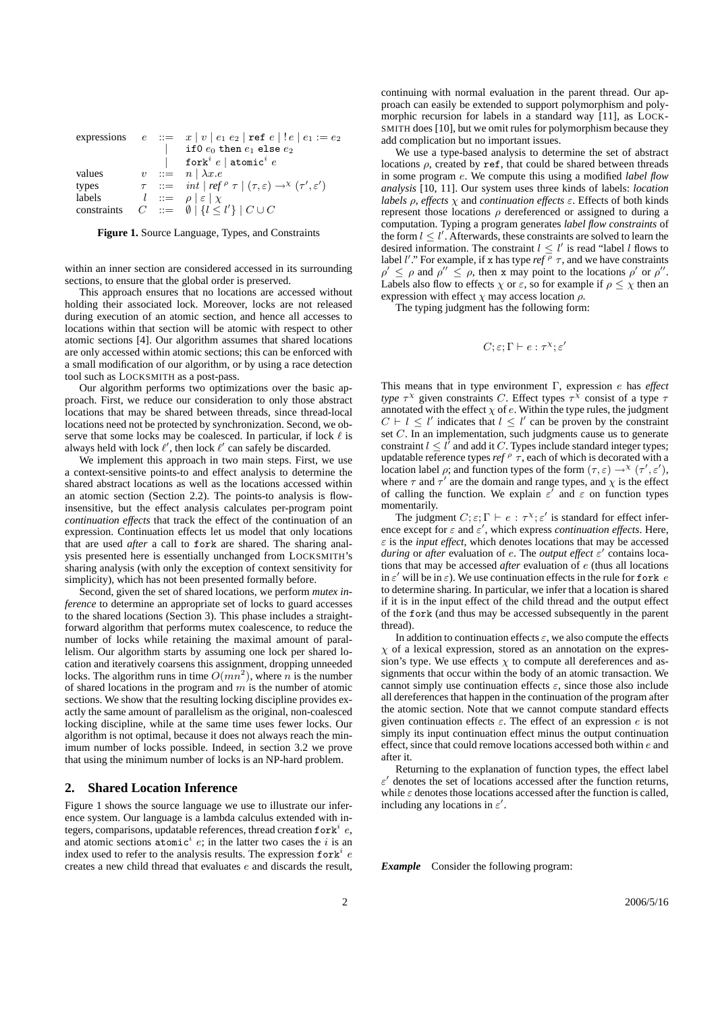|             |  | expressions $e ::= x   v   e_1 e_2   \text{ref } e   ! e   e_1 := e_2$                                                     |
|-------------|--|----------------------------------------------------------------------------------------------------------------------------|
|             |  | if 0 $e_0$ then $e_1$ else $e_2$                                                                                           |
|             |  | fork ${}^{i}e$   atomic ${}^{i}e$                                                                                          |
| values      |  | $v := n \mid \lambda x.e$                                                                                                  |
| types       |  | $\tau$ ::= int   ref <sup> <math>\rho</math></sup> $\tau$   $(\tau, \varepsilon) \rightarrow^{\chi} (\tau', \varepsilon')$ |
| labels      |  | $l ::= \rho  \varepsilon  \chi$                                                                                            |
| constraints |  | $C \quad ::= \quad \emptyset \mid \{l \leq l'\} \mid C \cup C$                                                             |

**Figure 1.** Source Language, Types, and Constraints

within an inner section are considered accessed in its surrounding sections, to ensure that the global order is preserved.

This approach ensures that no locations are accessed without holding their associated lock. Moreover, locks are not released during execution of an atomic section, and hence all accesses to locations within that section will be atomic with respect to other atomic sections [4]. Our algorithm assumes that shared locations are only accessed within atomic sections; this can be enforced with a small modification of our algorithm, or by using a race detection tool such as LOCKSMITH as a post-pass.

Our algorithm performs two optimizations over the basic approach. First, we reduce our consideration to only those abstract locations that may be shared between threads, since thread-local locations need not be protected by synchronization. Second, we observe that some locks may be coalesced. In particular, if lock  $\ell$  is always held with lock  $\ell'$ , then lock  $\ell'$  can safely be discarded.

We implement this approach in two main steps. First, we use a context-sensitive points-to and effect analysis to determine the shared abstract locations as well as the locations accessed within an atomic section (Section 2.2). The points-to analysis is flowinsensitive, but the effect analysis calculates per-program point *continuation effects* that track the effect of the continuation of an expression. Continuation effects let us model that only locations that are used *after* a call to fork are shared. The sharing analysis presented here is essentially unchanged from LOCKSMITH's sharing analysis (with only the exception of context sensitivity for simplicity), which has not been presented formally before.

Second, given the set of shared locations, we perform *mutex inference* to determine an appropriate set of locks to guard accesses to the shared locations (Section 3). This phase includes a straightforward algorithm that performs mutex coalescence, to reduce the number of locks while retaining the maximal amount of parallelism. Our algorithm starts by assuming one lock per shared location and iteratively coarsens this assignment, dropping unneeded locks. The algorithm runs in time  $O(mn^2)$ , where *n* is the number of shared locations in the program and  $m$  is the number of atomic sections. We show that the resulting locking discipline provides exactly the same amount of parallelism as the original, non-coalesced locking discipline, while at the same time uses fewer locks. Our algorithm is not optimal, because it does not always reach the minimum number of locks possible. Indeed, in section 3.2 we prove that using the minimum number of locks is an NP-hard problem.

## **2. Shared Location Inference**

Figure 1 shows the source language we use to illustrate our inference system. Our language is a lambda calculus extended with integers, comparisons, updatable references, thread creation  $f \text{ or } k^i$  e, and atomic sections  $atomic<sup>i</sup>$  e; in the latter two cases the i is an index used to refer to the analysis results. The expression  $f \circ r k^i$  e creates a new child thread that evaluates e and discards the result, continuing with normal evaluation in the parent thread. Our approach can easily be extended to support polymorphism and polymorphic recursion for labels in a standard way [11], as LOCK-SMITH does [10], but we omit rules for polymorphism because they add complication but no important issues.

We use a type-based analysis to determine the set of abstract locations  $\rho$ , created by ref, that could be shared between threads in some program e. We compute this using a modified *label flow analysis* [10, 11]. Our system uses three kinds of labels: *location labels*  $\rho$ , *effects*  $\chi$  and *continuation effects*  $\varepsilon$ . Effects of both kinds represent those locations  $\rho$  dereferenced or assigned to during a computation. Typing a program generates *label flow constraints* of the form  $l \leq l'$ . Afterwards, these constraints are solved to learn the desired information. The constraint  $l \leq l'$  is read "label l flows to label l'." For example, if x has type  $ref^{\rho} \tau$ , and we have constraints  $\rho' \leq \rho$  and  $\rho'' \leq \rho$ , then x may point to the locations  $\rho'$  or  $\rho''$ . Labels also flow to effects  $\chi$  or  $\varepsilon$ , so for example if  $\rho \leq \chi$  then an expression with effect  $\chi$  may access location  $\rho$ .

The typing judgment has the following form:

$$
C; \varepsilon; \Gamma \vdash e : \tau^{\chi}; \varepsilon'
$$

This means that in type environment Γ, expression e has *effect type*  $\tau^{\chi}$  given constraints C. Effect types  $\tau^{\chi}$  consist of a type  $\tau$ annotated with the effect  $\chi$  of e. Within the type rules, the judgment  $C \vdash l \leq l'$  indicates that  $l \leq l'$  can be proven by the constraint set C. In an implementation, such judgments cause us to generate constraint  $l \leq l^{\dagger}$  and add it C. Types include standard integer types; updatable reference types  $ref \circ \tau$ , each of which is decorated with a location label  $\rho$ ; and function types of the form  $(\tau, \varepsilon) \rightarrow^{\chi} (\tau', \varepsilon')$ , where  $\tau$  and  $\tau'$  are the domain and range types, and  $\chi$  is the effect of calling the function. We explain  $\varepsilon'$  and  $\varepsilon$  on function types momentarily.

The judgment  $C; \varepsilon; \Gamma \vdash e : \tau^{\chi}; \varepsilon'$  is standard for effect inference except for  $\varepsilon$  and  $\varepsilon'$ , which express *continuation effects*. Here,  $\varepsilon$  is the *input effect*, which denotes locations that may be accessed *during* or *after* evaluation of *e*. The *output effect* ε' contains locations that may be accessed *after* evaluation of e (thus all locations in  $\varepsilon'$  will be in  $\varepsilon$ ). We use continuation effects in the rule for fork e to determine sharing. In particular, we infer that a location is shared if it is in the input effect of the child thread and the output effect of the fork (and thus may be accessed subsequently in the parent thread).

In addition to continuation effects  $\varepsilon$ , we also compute the effects  $\chi$  of a lexical expression, stored as an annotation on the expression's type. We use effects  $\chi$  to compute all dereferences and assignments that occur within the body of an atomic transaction. We cannot simply use continuation effects  $\varepsilon$ , since those also include all dereferences that happen in the continuation of the program after the atomic section. Note that we cannot compute standard effects given continuation effects  $\varepsilon$ . The effect of an expression e is not simply its input continuation effect minus the output continuation effect, since that could remove locations accessed both within e and after it.

Returning to the explanation of function types, the effect label  $ε'$  denotes the set of locations accessed after the function returns, while  $\varepsilon$  denotes those locations accessed after the function is called, including any locations in  $\varepsilon'$ .

*Example* Consider the following program: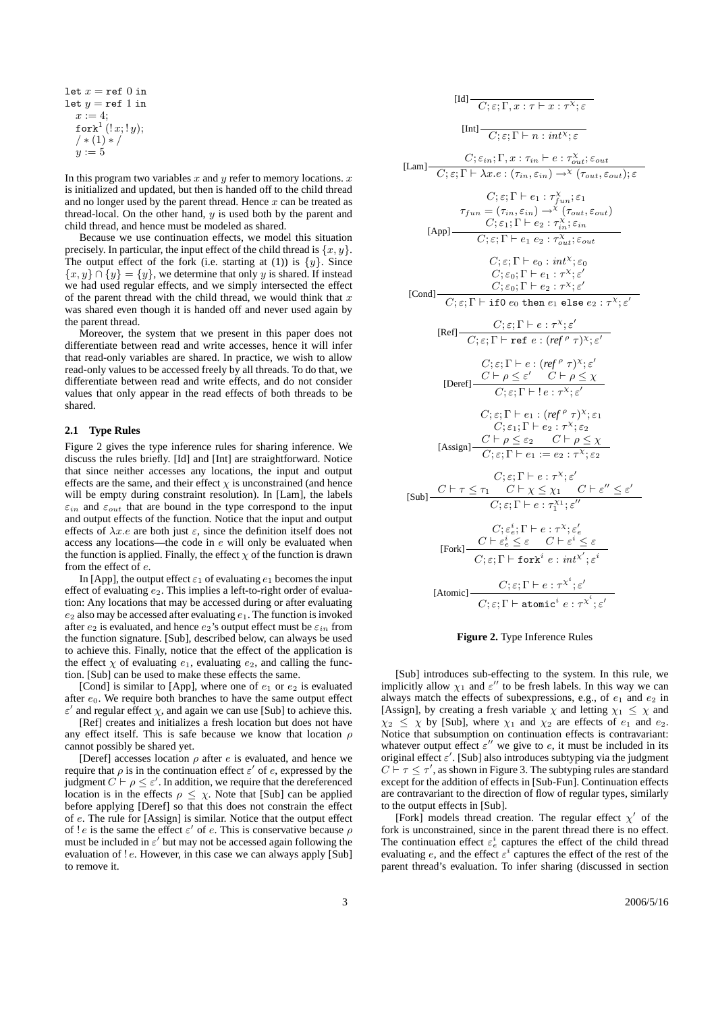let  $x = \text{ref } 0$  in let  $y = ref 1$  in  $x := 4$ ;  $\mathtt{fork}^1\left( \mathop{!} x;\mathop{!} y\right);$  $/*(1)*/$  $y := 5$ 

In this program two variables  $x$  and  $y$  refer to memory locations.  $x$ is initialized and updated, but then is handed off to the child thread and no longer used by the parent thread. Hence  $x$  can be treated as thread-local. On the other hand,  $y$  is used both by the parent and child thread, and hence must be modeled as shared.

Because we use continuation effects, we model this situation precisely. In particular, the input effect of the child thread is  $\{x, y\}$ . The output effect of the fork (i.e. starting at (1)) is  $\{y\}$ . Since  ${x, y} \cap {y} = {y}$ , we determine that only y is shared. If instead we had used regular effects, and we simply intersected the effect of the parent thread with the child thread, we would think that  $x$ was shared even though it is handed off and never used again by the parent thread.

Moreover, the system that we present in this paper does not differentiate between read and write accesses, hence it will infer that read-only variables are shared. In practice, we wish to allow read-only values to be accessed freely by all threads. To do that, we differentiate between read and write effects, and do not consider values that only appear in the read effects of both threads to be shared.

#### **2.1 Type Rules**

Figure 2 gives the type inference rules for sharing inference. We discuss the rules briefly. [Id] and [Int] are straightforward. Notice that since neither accesses any locations, the input and output effects are the same, and their effect  $\chi$  is unconstrained (and hence will be empty during constraint resolution). In [Lam], the labels  $\varepsilon_{in}$  and  $\varepsilon_{out}$  that are bound in the type correspond to the input and output effects of the function. Notice that the input and output effects of  $\lambda x.e$  are both just  $\varepsilon$ , since the definition itself does not access any locations—the code in e will only be evaluated when the function is applied. Finally, the effect  $\chi$  of the function is drawn from the effect of e.

In [App], the output effect  $\varepsilon_1$  of evaluating  $e_1$  becomes the input effect of evaluating  $e_2$ . This implies a left-to-right order of evaluation: Any locations that may be accessed during or after evaluating  $e_2$  also may be accessed after evaluating  $e_1$ . The function is invoked after  $e_2$  is evaluated, and hence  $e_2$ 's output effect must be  $\varepsilon_{in}$  from the function signature. [Sub], described below, can always be used to achieve this. Finally, notice that the effect of the application is the effect  $\chi$  of evaluating  $e_1$ , evaluating  $e_2$ , and calling the function. [Sub] can be used to make these effects the same.

[Cond] is similar to [App], where one of  $e_1$  or  $e_2$  is evaluated after  $e_0$ . We require both branches to have the same output effect  $\varepsilon'$  and regular effect  $\chi$ , and again we can use [Sub] to achieve this.

[Ref] creates and initializes a fresh location but does not have any effect itself. This is safe because we know that location  $\rho$ cannot possibly be shared yet.

[Deref] accesses location  $\rho$  after e is evaluated, and hence we require that  $\rho$  is in the continuation effect  $\varepsilon'$  of e, expressed by the judgment  $C \vdash \rho \leq \varepsilon'$ . In addition, we require that the dereferenced location is in the effects  $\rho \leq \chi$ . Note that [Sub] can be applied before applying [Deref] so that this does not constrain the effect of e. The rule for [Assign] is similar. Notice that the output effect of ! e is the same the effect  $\varepsilon'$  of e. This is conservative because  $\rho$ must be included in  $\varepsilon'$  but may not be accessed again following the evaluation of ! *e*. However, in this case we can always apply [Sub] to remove it.

$$
[Id] \t C; \varepsilon; \Gamma, x : \tau \vdash x : \tau^{\chi}; \varepsilon
$$
\n
$$
[Int] \t C; \varepsilon; \Gamma \vdash n : int^{\chi}; \varepsilon
$$
\n
$$
[Lam] \t C; \varepsilon; \Gamma \vdash a : \tau^{\chi} : \varepsilon_{int} \varepsilon_{out}
$$
\n
$$
[Lam] \t C; \varepsilon; \Gamma \vdash \lambda x. e : (\tau_{in}, \varepsilon_{in}) \rightarrow^{\chi} (\tau_{out}, \varepsilon_{out}); \varepsilon
$$
\n
$$
[C; \varepsilon; \Gamma \vdash e_1 : \tau^{\chi}_{fin}; \varepsilon_1 \tau_{out}; \varepsilon_1 \tau_{out} \varepsilon_{out})
$$
\n
$$
[App] \t C; \varepsilon; \Gamma \vdash e_1 : \tau^{\chi} : \varepsilon_{int}
$$
\n
$$
[C; \varepsilon; \Gamma \vdash e_2 : \tau^{\chi} : \varepsilon_{out} \tau_{out})
$$
\n
$$
[C; \varepsilon; \Gamma \vdash e_1 e_2 : \tau^{\chi} : \varepsilon_0 \tau_{out}; \varepsilon_0 \tau_{out}; \varepsilon_0 \tau_{out}; \varepsilon_0 \tau_{out}; \varepsilon_0 \tau_{out}; \varepsilon_0 \tau_{out}; \varepsilon_0 \tau_{out}; \varepsilon_0 \tau_{out}; \varepsilon_0 \tau_{out}; \varepsilon_0 \tau_{out}; \varepsilon_0 \tau_{out}; \varepsilon_0 \tau_{out}; \varepsilon_0 \tau_{out}; \varepsilon_0 \tau_{out}; \varepsilon_0 \tau_{out}; \varepsilon_0 \tau_{out}; \varepsilon_0 \tau_{out}; \varepsilon_0 \tau_{out}; \varepsilon_0 \tau_{out}; \varepsilon_0 \tau_{out}; \varepsilon_0 \tau_{out}; \varepsilon_0 \tau_{out}; \varepsilon_0 \tau_{out}; \varepsilon_0 \tau_{out}; \varepsilon_0 \tau_{out}; \varepsilon_0 \tau_{out}; \varepsilon_0 \tau_{out}; \varepsilon_0 \tau_{out}; \varepsilon_0 \tau_{out}; \varepsilon_0 \tau_{out}; \varepsilon_0 \tau_{out}; \varepsilon_0 \tau_{out}; \varepsilon_0 \tau_{out}; \varepsilon_0 \tau_{out}; \vare
$$

### **Figure 2.** Type Inference Rules

[Sub] introduces sub-effecting to the system. In this rule, we implicitly allow  $\chi_1$  and  $\varepsilon''$  to be fresh labels. In this way we can always match the effects of subexpressions, e.g., of  $e_1$  and  $e_2$  in [Assign], by creating a fresh variable  $\chi$  and letting  $\chi_1 \leq \chi$  and  $\chi_2 \leq \chi$  by [Sub], where  $\chi_1$  and  $\chi_2$  are effects of  $e_1$  and  $e_2$ . Notice that subsumption on continuation effects is contravariant: whatever output effect  $\varepsilon''$  we give to e, it must be included in its original effect  $\varepsilon'$ . [Sub] also introduces subtyping via the judgment  $C \rvdash \tau \leq \tau'$ , as shown in Figure 3. The subtyping rules are standard except for the addition of effects in [Sub-Fun]. Continuation effects are contravariant to the direction of flow of regular types, similarly to the output effects in [Sub].

[Fork] models thread creation. The regular effect  $\chi'$  of the fork is unconstrained, since in the parent thread there is no effect. The continuation effect  $\varepsilon_e^i$  captures the effect of the child thread evaluating e, and the effect  $\varepsilon^i$  captures the effect of the rest of the parent thread's evaluation. To infer sharing (discussed in section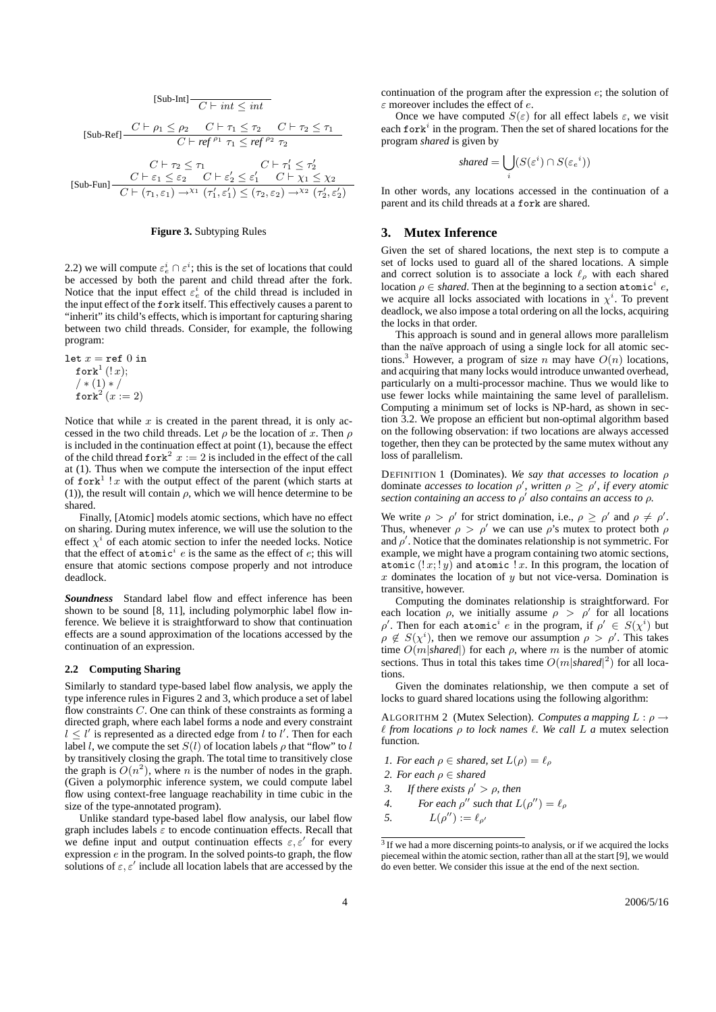$$
[\text{Sub-Int}] \frac{C \vdash int \leq int}{C \vdash int \leq int}
$$
\n
$$
[\text{Sub-Ref}] \frac{C \vdash \rho_1 \leq \rho_2 \quad C \vdash \tau_1 \leq \tau_2 \quad C \vdash \tau_2 \leq \tau_1}{C \vdash ref^{\rho_1} \tau_1 \leq ref^{\rho_2} \tau_2}
$$
\n
$$
C \vdash \tau_2 \leq \tau_1 \quad C \vdash \tau_1' \leq \tau_2'
$$
\n
$$
[\text{Sub-Fun}] \frac{C \vdash \varepsilon_1 \leq \varepsilon_2 \quad C \vdash \varepsilon_2' \leq \varepsilon_1' \quad C \vdash \chi_1 \leq \chi_2}{C \vdash (\tau_1, \varepsilon_1) \to^{\chi_1} (\tau_1', \varepsilon_1') \leq (\tau_2, \varepsilon_2) \to^{\chi_2} (\tau_2', \varepsilon_2')}
$$

#### **Figure 3.** Subtyping Rules

2.2) we will compute  $\varepsilon_e^i \cap \varepsilon^i$ ; this is the set of locations that could be accessed by both the parent and child thread after the fork. Notice that the input effect  $\varepsilon_e^i$  of the child thread is included in the input effect of the fork itself. This effectively causes a parent to "inherit" its child's effects, which is important for capturing sharing between two child threads. Consider, for example, the following program:

let  $x=\hbox{\tt ref}\ 0$  in  $\mathtt{fork}^1$   $(!\,x);$  $/* (1) * /$ fork $2^2(x:=2)$ 

Notice that while  $x$  is created in the parent thread, it is only accessed in the two child threads. Let  $\rho$  be the location of x. Then  $\rho$ is included in the continuation effect at point (1), because the effect of the child thread  $f \circ r k^2$   $x := 2$  is included in the effect of the call at (1). Thus when we compute the intersection of the input effect of fork<sup>1</sup> ! x with the output effect of the parent (which starts at (1)), the result will contain  $\rho$ , which we will hence determine to be shared.

Finally, [Atomic] models atomic sections, which have no effect on sharing. During mutex inference, we will use the solution to the effect  $\chi^i$  of each atomic section to infer the needed locks. Notice that the effect of  $atomic<sup>i</sup>$  e is the same as the effect of e; this will ensure that atomic sections compose properly and not introduce deadlock.

*Soundness* Standard label flow and effect inference has been shown to be sound [8, 11], including polymorphic label flow inference. We believe it is straightforward to show that continuation effects are a sound approximation of the locations accessed by the continuation of an expression.

#### **2.2 Computing Sharing**

Similarly to standard type-based label flow analysis, we apply the type inference rules in Figures 2 and 3, which produce a set of label flow constraints C. One can think of these constraints as forming a directed graph, where each label forms a node and every constraint  $l \leq l'$  is represented as a directed edge from l to l'. Then for each label l, we compute the set  $S(l)$  of location labels  $\rho$  that "flow" to l by transitively closing the graph. The total time to transitively close the graph is  $O(n^2)$ , where n is the number of nodes in the graph. (Given a polymorphic inference system, we could compute label flow using context-free language reachability in time cubic in the size of the type-annotated program).

Unlike standard type-based label flow analysis, our label flow graph includes labels  $\varepsilon$  to encode continuation effects. Recall that we define input and output continuation effects  $\varepsilon, \varepsilon'$  for every expression  $e$  in the program. In the solved points-to graph, the flow solutions of  $\varepsilon$ ,  $\varepsilon'$  include all location labels that are accessed by the

continuation of the program after the expression  $e$ ; the solution of  $\varepsilon$  moreover includes the effect of  $e$ .

Once we have computed  $S(\varepsilon)$  for all effect labels  $\varepsilon$ , we visit each  $f$ ork<sup>i</sup> in the program. Then the set of shared locations for the program *shared* is given by

$$
shared = \bigcup_{i} (S(\varepsilon^i) \cap S(\varepsilon_e^{-i}))
$$

In other words, any locations accessed in the continuation of a parent and its child threads at a fork are shared.

## **3. Mutex Inference**

Given the set of shared locations, the next step is to compute a set of locks used to guard all of the shared locations. A simple and correct solution is to associate a lock  $\ell_{\rho}$  with each shared location  $\rho \in shared$ . Then at the beginning to a section atomic<sup>i</sup> e, we acquire all locks associated with locations in  $\chi^i$ . To prevent deadlock, we also impose a total ordering on all the locks, acquiring the locks in that order.

This approach is sound and in general allows more parallelism than the naïve approach of using a single lock for all atomic sections.<sup>3</sup> However, a program of size n may have  $O(n)$  locations, and acquiring that many locks would introduce unwanted overhead, particularly on a multi-processor machine. Thus we would like to use fewer locks while maintaining the same level of parallelism. Computing a minimum set of locks is NP-hard, as shown in section 3.2. We propose an efficient but non-optimal algorithm based on the following observation: if two locations are always accessed together, then they can be protected by the same mutex without any loss of parallelism.

DEFINITION 1 (Dominates). *We say that accesses to location* ρ dominate *accesses to location*  $\rho'$ , written  $\rho \geq \rho'$ , if every atomic *section containing an access to* ρ 0 *also contains an access to* ρ*.*

We write  $\rho > \rho'$  for strict domination, i.e.,  $\rho \ge \rho'$  and  $\rho \ne \rho'$ . Thus, whenever  $\rho > \rho'$  we can use  $\rho$ 's mutex to protect both  $\rho$ and  $\rho'$ . Notice that the dominates relationship is not symmetric. For example, we might have a program containing two atomic sections, atomic  $(!x; !y)$  and atomic  $!x$ . In this program, the location of  $x$  dominates the location of  $y$  but not vice-versa. Domination is transitive, however.

Computing the dominates relationship is straightforward. For each location  $\rho$ , we initially assume  $\rho > \rho'$  for all locations  $ρ'$ . Then for each atomic<sup>i</sup> e in the program, if  $ρ' \in S(χ<sup>i</sup>)$  but  $\rho \notin S(\chi^i)$ , then we remove our assumption  $\rho > \rho'$ . This takes time  $O(m|shared|)$  for each  $\rho$ , where m is the number of atomic sections. Thus in total this takes time  $O(m|shared|^2)$  for all locations.

Given the dominates relationship, we then compute a set of locks to guard shared locations using the following algorithm:

ALGORITHM 2 (Mutex Selection). *Computes a mapping*  $L : \rho \rightarrow$ ` *from locations* ρ *to lock names* `*. We call* L *a* mutex selection function*.*

*1. For each*  $\rho \in$  *shared, set*  $L(\rho) = \ell_\rho$ 

- *2. For each*  $\rho \in shared$
- 3. If there exists  $\rho' > \rho$ , then
- *4. For each*  $\rho''$  *such that*  $L(\rho'') = \ell_\rho$

5.  $L(\rho'') := \ell_{\rho'}$ 

<sup>&</sup>lt;sup>3</sup> If we had a more discerning points-to analysis, or if we acquired the locks piecemeal within the atomic section, rather than all at the start [9], we would do even better. We consider this issue at the end of the next section.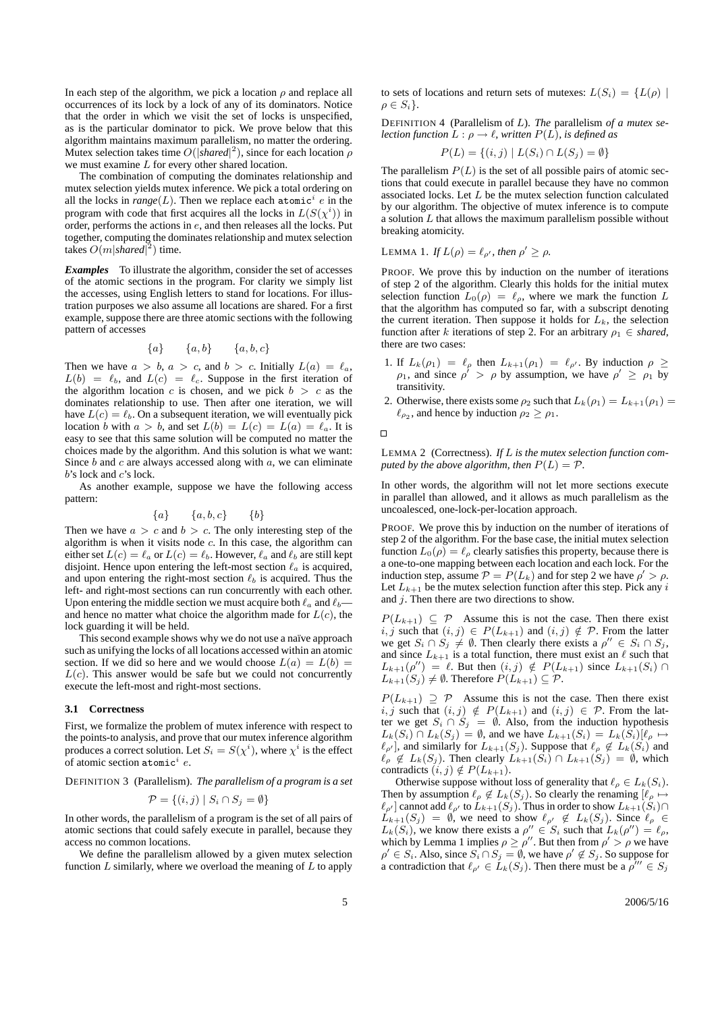In each step of the algorithm, we pick a location  $\rho$  and replace all occurrences of its lock by a lock of any of its dominators. Notice that the order in which we visit the set of locks is unspecified, as is the particular dominator to pick. We prove below that this algorithm maintains maximum parallelism, no matter the ordering. Mutex selection takes time  $O(|shared|^2)$ , since for each location  $\rho$ we must examine L for every other shared location.

The combination of computing the dominates relationship and mutex selection yields mutex inference. We pick a total ordering on all the locks in  $range(L)$ . Then we replace each atomic<sup>i</sup> e in the program with code that first acquires all the locks in  $L(S(\chi^i))$  in order, performs the actions in e, and then releases all the locks. Put together, computing the dominates relationship and mutex selection takes  $O(m|shared|^2)$  time.

*Examples* To illustrate the algorithm, consider the set of accesses of the atomic sections in the program. For clarity we simply list the accesses, using English letters to stand for locations. For illustration purposes we also assume all locations are shared. For a first example, suppose there are three atomic sections with the following pattern of accesses

$$
\{a\} \qquad \{a,b\} \qquad \{a,b,c\}
$$

Then we have  $a > b$ ,  $a > c$ , and  $b > c$ . Initially  $L(a) = \ell_a$ ,  $L(b) = \ell_b$ , and  $L(c) = \ell_c$ . Suppose in the first iteration of the algorithm location c is chosen, and we pick  $b > c$  as the dominates relationship to use. Then after one iteration, we will have  $L(c) = \ell_b$ . On a subsequent iteration, we will eventually pick location b with  $a > b$ , and set  $L(b) = L(c) = L(a) = \ell_a$ . It is easy to see that this same solution will be computed no matter the choices made by the algorithm. And this solution is what we want: Since  $b$  and  $c$  are always accessed along with  $a$ , we can eliminate  $b$ 's lock and  $c$ 's lock.

As another example, suppose we have the following access pattern:

$$
\{a\} \qquad \{a,b,c\} \qquad \{b\}
$$

Then we have  $a > c$  and  $b > c$ . The only interesting step of the algorithm is when it visits node  $c$ . In this case, the algorithm can either set  $L(c) = \ell_a$  or  $L(c) = \ell_b$ . However,  $\ell_a$  and  $\ell_b$  are still kept disjoint. Hence upon entering the left-most section  $\ell_a$  is acquired, and upon entering the right-most section  $\ell_b$  is acquired. Thus the left- and right-most sections can run concurrently with each other. Upon entering the middle section we must acquire both  $\ell_a$  and  $\ell_b$ and hence no matter what choice the algorithm made for  $L(c)$ , the lock guarding it will be held.

This second example shows why we do not use a naïve approach such as unifying the locks of all locations accessed within an atomic section. If we did so here and we would choose  $L(a) = L(b) =$  $L(c)$ . This answer would be safe but we could not concurrently execute the left-most and right-most sections.

#### **3.1 Correctness**

First, we formalize the problem of mutex inference with respect to the points-to analysis, and prove that our mutex inference algorithm produces a correct solution. Let  $S_i = S(\chi^i)$ , where  $\chi^i$  is the effect of atomic section  $atomic^i$  e.

DEFINITION 3 (Parallelism). *The parallelism of a program is a set*

$$
\mathcal{P} = \{(i, j) \mid S_i \cap S_j = \emptyset\}
$$

In other words, the parallelism of a program is the set of all pairs of atomic sections that could safely execute in parallel, because they access no common locations.

We define the parallelism allowed by a given mutex selection function  $L$  similarly, where we overload the meaning of  $L$  to apply to sets of locations and return sets of mutexes:  $L(S_i) = \{L(\rho) \mid$  $\rho \in S_i$ .

DEFINITION 4 (Parallelism of L). *The* parallelism *of a mutex selection function*  $L : \rho \to \ell$ *, written*  $P(L)$ *, is defined as* 

$$
P(L) = \{(i, j) | L(S_i) \cap L(S_j) = \emptyset\}
$$

The parallelism  $P(L)$  is the set of all possible pairs of atomic sections that could execute in parallel because they have no common associated locks. Let  $L$  be the mutex selection function calculated by our algorithm. The objective of mutex inference is to compute a solution  $L$  that allows the maximum parallelism possible without breaking atomicity.

LEMMA 1. If 
$$
L(\rho) = \ell_{\rho'}
$$
, then  $\rho' \ge \rho$ .

PROOF. We prove this by induction on the number of iterations of step 2 of the algorithm. Clearly this holds for the initial mutex selection function  $L_0(\rho) = \ell_\rho$ , where we mark the function L that the algorithm has computed so far, with a subscript denoting the current iteration. Then suppose it holds for  $L_k$ , the selection function after k iterations of step 2. For an arbitrary  $\rho_1 \in shared$ , there are two cases:

- 1. If  $L_k(\rho_1) = \ell_\rho$  then  $L_{k+1}(\rho_1) = \ell_{\rho'}$ . By induction  $\rho \geq$  $\rho_1$ , and since  $\rho' > \rho$  by assumption, we have  $\rho' \ge \rho_1$  by transitivity.
- 2. Otherwise, there exists some  $\rho_2$  such that  $L_k(\rho_1) = L_{k+1}(\rho_1) =$  $\ell_{\rho_2}$ , and hence by induction  $\rho_2 \ge \rho_1$ .

 $\Box$ 

LEMMA 2 (Correctness). *If* L *is the mutex selection function computed by the above algorithm, then*  $P(L) = P$ *.* 

In other words, the algorithm will not let more sections execute in parallel than allowed, and it allows as much parallelism as the uncoalesced, one-lock-per-location approach.

PROOF. We prove this by induction on the number of iterations of step 2 of the algorithm. For the base case, the initial mutex selection function  $L_0(\rho) = \ell_\rho$  clearly satisfies this property, because there is a one-to-one mapping between each location and each lock. For the induction step, assume  $P = P(L_k)$  and for step 2 we have  $\rho' > \rho$ . Let  $L_{k+1}$  be the mutex selection function after this step. Pick any i and  $j$ . Then there are two directions to show.

 $P(L_{k+1}) \subseteq \mathcal{P}$  Assume this is not the case. Then there exist i, j such that  $(i, j) \in P(L_{k+1})$  and  $(i, j) \notin P$ . From the latter we get  $S_i \cap S_j \neq \emptyset$ . Then clearly there exists a  $\rho'' \in S_i \cap S_j$ , and since  $L_{k+1}$  is a total function, there must exist an  $\ell$  such that  $L_{k+1}(\rho'') = \ell$ . But then  $(i, j) \notin P(L_{k+1})$  since  $L_{k+1}(S_i) \cap$  $L_{k+1}(S_j) \neq \emptyset$ . Therefore  $P(L_{k+1}) \subseteq \mathcal{P}$ .

 $P(L_{k+1}) \supseteq P$  Assume this is not the case. Then there exist i, j such that  $(i, j) \notin P(L_{k+1})$  and  $(i, j) \in P$ . From the latter we get  $S_i \cap S_j = \emptyset$ . Also, from the induction hypothesis  $L_k(S_i) \cap L_k(S_j) = \emptyset$ , and we have  $L_{k+1}(S_i) = L_k(S_i)[\ell_\rho \mapsto \ell_\rho]$  $\ell_{\rho'}$ , and similarly for  $L_{k+1}(S_j)$ . Suppose that  $\ell_{\rho} \notin L_k(S_i)$  and  $\ell_{\rho} \notin L_k(S_j)$ . Then clearly  $L_{k+1}(S_i) \cap L_{k+1}(S_j) = \emptyset$ , which contradicts  $(i, j) \notin P(L_{k+1})$ .

Otherwise suppose without loss of generality that  $\ell_{\rho} \in L_k(S_i)$ . Then by assumption  $\ell_{\rho} \notin L_k(S_j)$ . So clearly the renaming  $[\ell_{\rho} \mapsto$  $\ell_{\rho'}$ ] cannot add  $\ell_{\rho'}$  to  $L_{k+1}(S_j)$ . Thus in order to show  $L_{k+1}(S_i) \cap$  $L_{k+1}(S_j) = \emptyset$ , we need to show  $\ell_{\rho'} \notin L_k(S_j)$ . Since  $\ell_{\rho} \in$  $L_k(S_i)$ , we know there exists a  $\rho'' \in S_i$  such that  $L_k(\rho'') = \ell_\rho$ , which by Lemma 1 implies  $\rho \ge \rho''$ . But then from  $\rho' > \rho$  we have  $\rho' \in S_i$ . Also, since  $S_i \cap S_j = \emptyset$ , we have  $\rho' \notin S_j$ . So suppose for a contradiction that  $\ell_{\rho'} \in L_k(S_j)$ . Then there must be a  $\rho''' \in S_j$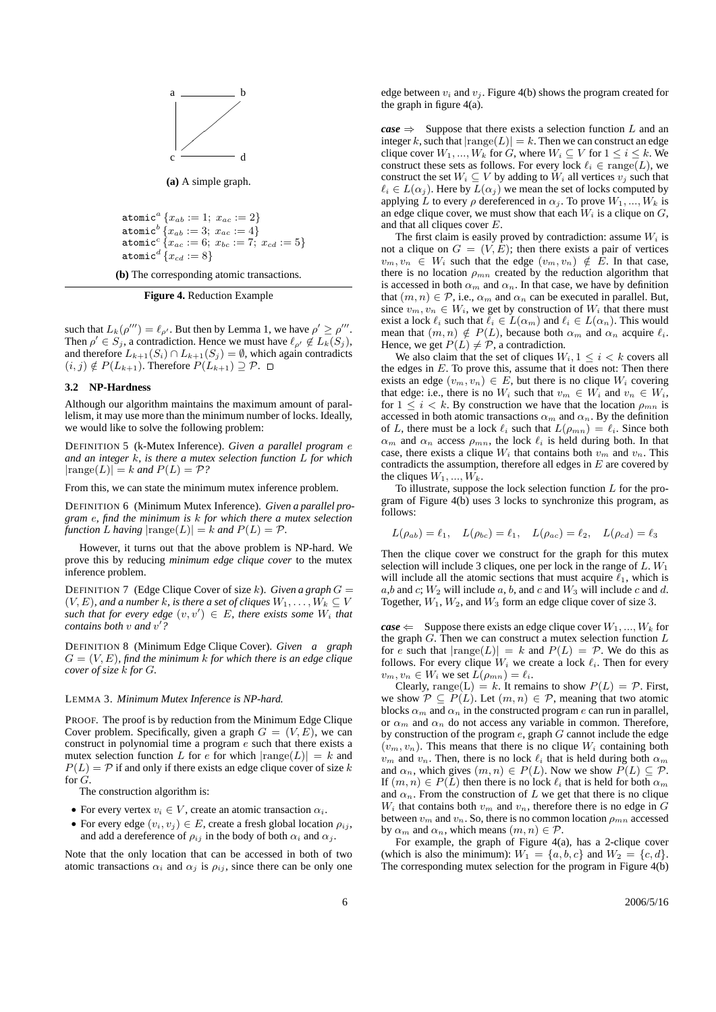

**(a)** A simple graph.

```
atomic<sup>a</sup> {x_{ab} := 1; x_{ac} := 2}}
\texttt{atomic}^b\left\{x_{ab}:=3;\;x_{ac}:=4\right\}\texttt{atomic}^c\left\{x_{ac}:=6;\;x_{bc}:=7;\;x_{cd}:=5\right\}\texttt{atomic}^d \{x_{cd} := 8\}
```
**(b)** The corresponding atomic transactions.

**Figure 4.** Reduction Example

such that  $L_k(\rho^{\prime\prime\prime}) = \ell_{\rho\prime}$ . But then by Lemma 1, we have  $\rho' \ge \rho^{\prime\prime\prime}$ . Then  $\rho' \in S_j$ , a contradiction. Hence we must have  $\ell_{\rho'} \not\in L_k(S_j)$ , and therefore  $L_{k+1}(S_i) \cap L_{k+1}(S_j) = \emptyset$ , which again contradicts  $(i, j) \notin P(L_{k+1})$ . Therefore  $P(L_{k+1}) \supseteq P$ .  $\Box$ 

## **3.2 NP-Hardness**

Although our algorithm maintains the maximum amount of parallelism, it may use more than the minimum number of locks. Ideally, we would like to solve the following problem:

DEFINITION 5 (k-Mutex Inference). *Given a parallel program* e *and an integer* k*, is there a mutex selection function* L *for which*  $|\text{range}(L)| = k$  *and*  $P(L) = P$ ?

From this, we can state the minimum mutex inference problem.

DEFINITION 6 (Minimum Mutex Inference). *Given a parallel program* e*, find the minimum is* k *for which there a mutex selection function L having*  $|\text{range}(L)| = k$  *and*  $P(L) = P$ *.* 

However, it turns out that the above problem is NP-hard. We prove this by reducing *minimum edge clique cover* to the mutex inference problem.

DEFINITION 7 (Edge Clique Cover of size k). *Given a graph*  $G =$  $(V, E)$ *, and a number k, is there a set of cliques*  $W_1, \ldots, W_k \subseteq V$  $such$  *that for every edge*  $(v, v') \in E$ *, there exists some*  $W_i$  *that contains both* v *and* v 0 *?*

DEFINITION 8 (Minimum Edge Clique Cover). *Given a graph*  $G = (V, E)$ , find the minimum k for which there is an edge clique *cover of size* k *for* G*.*

#### LEMMA 3. *Minimum Mutex Inference is NP-hard.*

PROOF. The proof is by reduction from the Minimum Edge Clique Cover problem. Specifically, given a graph  $G = (V, E)$ , we can construct in polynomial time a program e such that there exists a mutex selection function L for e for which  $|\text{range}(L)| = k$  and  $P(L) = P$  if and only if there exists an edge clique cover of size k for G.

The construction algorithm is:

- For every vertex  $v_i \in V$ , create an atomic transaction  $\alpha_i$ .
- For every edge  $(v_i, v_j) \in E$ , create a fresh global location  $\rho_{ij}$ , and add a dereference of  $\rho_{ij}$  in the body of both  $\alpha_i$  and  $\alpha_j$ .

Note that the only location that can be accessed in both of two atomic transactions  $\alpha_i$  and  $\alpha_j$  is  $\rho_{ij}$ , since there can be only one

edge between  $v_i$  and  $v_j$ . Figure 4(b) shows the program created for the graph in figure 4(a).

 $\textit{case} \Rightarrow$  Suppose that there exists a selection function L and an integer k, such that  $|\text{range}(L)| = k$ . Then we can construct an edge clique cover  $W_1, ..., W_k$  for G, where  $W_i \subseteq V$  for  $1 \leq i \leq k$ . We construct these sets as follows. For every lock  $\ell_i \in \text{range}(L)$ , we construct the set  $W_i \subseteq V$  by adding to  $W_i$  all vertices  $v_j$  such that  $\ell_i \in L(\alpha_j)$ . Here by  $L(\alpha_j)$  we mean the set of locks computed by applying L to every  $\rho$  dereferenced in  $\alpha_j$ . To prove  $W_1, ..., W_k$  is an edge clique cover, we must show that each  $W_i$  is a clique on  $G$ , and that all cliques cover E.

The first claim is easily proved by contradiction: assume  $W_i$  is not a clique on  $G = (V, E)$ ; then there exists a pair of vertices  $v_m, v_n \in W_i$  such that the edge  $(v_m, v_n) \notin E$ . In that case, there is no location  $\rho_{mn}$  created by the reduction algorithm that is accessed in both  $\alpha_m$  and  $\alpha_n$ . In that case, we have by definition that  $(m, n) \in \mathcal{P}$ , i.e.,  $\alpha_m$  and  $\alpha_n$  can be executed in parallel. But, since  $v_m, v_n \in W_i$ , we get by construction of  $W_i$  that there must exist a lock  $\ell_i$  such that  $\ell_i \in L(\alpha_m)$  and  $\ell_i \in L(\alpha_n)$ . This would mean that  $(m, n) \notin P(L)$ , because both  $\alpha_m$  and  $\alpha_n$  acquire  $\ell_i$ . Hence, we get  $P(L) \neq P$ , a contradiction.

We also claim that the set of cliques  $W_i$ ,  $1 \leq i \leq k$  covers all the edges in  $E$ . To prove this, assume that it does not: Then there exists an edge  $(v_m, v_n) \in E$ , but there is no clique  $W_i$  covering that edge: i.e., there is no  $W_i$  such that  $v_m \in W_i$  and  $v_n \in W_i$ , for  $1 \leq i \leq k$ . By construction we have that the location  $\rho_{mn}$  is accessed in both atomic transactions  $\alpha_m$  and  $\alpha_n$ . By the definition of L, there must be a lock  $\ell_i$  such that  $L(\rho_{mn}) = \ell_i$ . Since both  $\alpha_m$  and  $\alpha_n$  access  $\rho_{mn}$ , the lock  $\ell_i$  is held during both. In that case, there exists a clique  $W_i$  that contains both  $v_m$  and  $v_n$ . This contradicts the assumption, therefore all edges in  $E$  are covered by the cliques  $W_1, ..., W_k$ .

To illustrate, suppose the lock selection function  $L$  for the program of Figure 4(b) uses 3 locks to synchronize this program, as follows:

$$
L(\rho_{ab}) = \ell_1
$$
,  $L(\rho_{bc}) = \ell_1$ ,  $L(\rho_{ac}) = \ell_2$ ,  $L(\rho_{cd}) = \ell_3$ 

Then the clique cover we construct for the graph for this mutex selection will include 3 cliques, one per lock in the range of  $L$ .  $W_1$ will include all the atomic sections that must acquire  $\ell_1$ , which is a,b and c;  $W_2$  will include a, b, and c and  $W_3$  will include c and d. Together,  $W_1$ ,  $W_2$ , and  $W_3$  form an edge clique cover of size 3.

 $\textit{case} \Leftarrow$  Suppose there exists an edge clique cover  $W_1, ..., W_k$  for the graph  $G$ . Then we can construct a mutex selection function  $L$ for e such that  $|\text{range}(L)| = k$  and  $P(L) = \mathcal{P}$ . We do this as follows. For every clique  $W_i$  we create a lock  $\ell_i$ . Then for every  $v_m, v_n \in W_i$  we set  $L(\rho_{mn}) = \ell_i$ .

Clearly, range(L) = k. It remains to show  $P(L) = \mathcal{P}$ . First, we show  $P \subseteq P(L)$ . Let  $(m, n) \in P$ , meaning that two atomic blocks  $\alpha_m$  and  $\alpha_n$  in the constructed program e can run in parallel, or  $\alpha_m$  and  $\alpha_n$  do not access any variable in common. Therefore, by construction of the program  $e$ , graph  $G$  cannot include the edge  $(v_m, v_n)$ . This means that there is no clique  $W_i$  containing both  $v_m$  and  $v_n$ . Then, there is no lock  $\ell_i$  that is held during both  $\alpha_m$ and  $\alpha_n$ , which gives  $(m, n) \in P(L)$ . Now we show  $P(L) \subseteq \mathcal{P}$ . If  $(m, n) \in P(L)$  then there is no lock  $\ell_i$  that is held for both  $\alpha_m$ and  $\alpha_n$ . From the construction of L we get that there is no clique  $W_i$  that contains both  $v_m$  and  $v_n$ , therefore there is no edge in G between  $v_m$  and  $v_n$ . So, there is no common location  $\rho_{mn}$  accessed by  $\alpha_m$  and  $\alpha_n$ , which means  $(m, n) \in \mathcal{P}$ .

For example, the graph of Figure 4(a), has a 2-clique cover (which is also the minimum):  $W_1 = \{a, b, c\}$  and  $W_2 = \{c, d\}.$ The corresponding mutex selection for the program in Figure 4(b)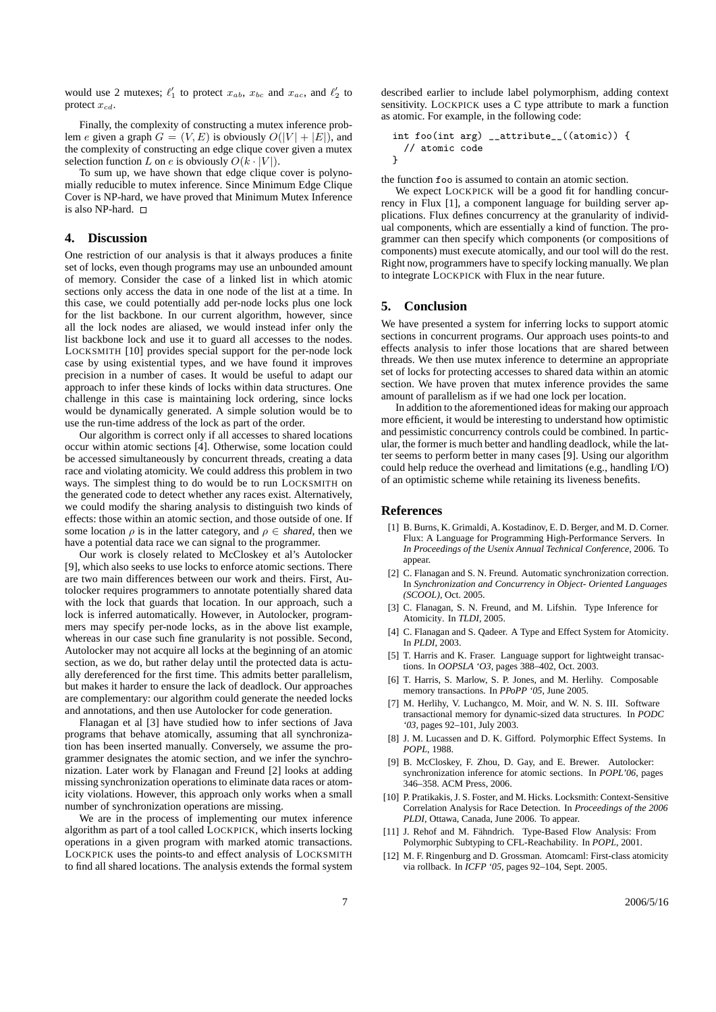would use 2 mutexes;  $\ell'_1$  to protect  $x_{ab}$ ,  $x_{bc}$  and  $x_{ac}$ , and  $\ell'_2$  to protect  $x_{cd}$ .

Finally, the complexity of constructing a mutex inference problem e given a graph  $G = (V, E)$  is obviously  $O(|V| + |E|)$ , and the complexity of constructing an edge clique cover given a mutex selection function L on e is obviously  $O(k \cdot |V|)$ .

To sum up, we have shown that edge clique cover is polynomially reducible to mutex inference. Since Minimum Edge Clique Cover is NP-hard, we have proved that Minimum Mutex Inference is also NP-hard.

## **4. Discussion**

One restriction of our analysis is that it always produces a finite set of locks, even though programs may use an unbounded amount of memory. Consider the case of a linked list in which atomic sections only access the data in one node of the list at a time. In this case, we could potentially add per-node locks plus one lock for the list backbone. In our current algorithm, however, since all the lock nodes are aliased, we would instead infer only the list backbone lock and use it to guard all accesses to the nodes. LOCKSMITH [10] provides special support for the per-node lock case by using existential types, and we have found it improves precision in a number of cases. It would be useful to adapt our approach to infer these kinds of locks within data structures. One challenge in this case is maintaining lock ordering, since locks would be dynamically generated. A simple solution would be to use the run-time address of the lock as part of the order.

Our algorithm is correct only if all accesses to shared locations occur within atomic sections [4]. Otherwise, some location could be accessed simultaneously by concurrent threads, creating a data race and violating atomicity. We could address this problem in two ways. The simplest thing to do would be to run LOCKSMITH on the generated code to detect whether any races exist. Alternatively, we could modify the sharing analysis to distinguish two kinds of effects: those within an atomic section, and those outside of one. If some location  $\rho$  is in the latter category, and  $\rho \in shared$ , then we have a potential data race we can signal to the programmer.

Our work is closely related to McCloskey et al's Autolocker [9], which also seeks to use locks to enforce atomic sections. There are two main differences between our work and theirs. First, Autolocker requires programmers to annotate potentially shared data with the lock that guards that location. In our approach, such a lock is inferred automatically. However, in Autolocker, programmers may specify per-node locks, as in the above list example, whereas in our case such fine granularity is not possible. Second, Autolocker may not acquire all locks at the beginning of an atomic section, as we do, but rather delay until the protected data is actually dereferenced for the first time. This admits better parallelism, but makes it harder to ensure the lack of deadlock. Our approaches are complementary: our algorithm could generate the needed locks and annotations, and then use Autolocker for code generation.

Flanagan et al [3] have studied how to infer sections of Java programs that behave atomically, assuming that all synchronization has been inserted manually. Conversely, we assume the programmer designates the atomic section, and we infer the synchronization. Later work by Flanagan and Freund [2] looks at adding missing synchronization operations to eliminate data races or atomicity violations. However, this approach only works when a small number of synchronization operations are missing.

We are in the process of implementing our mutex inference algorithm as part of a tool called LOCKPICK, which inserts locking operations in a given program with marked atomic transactions. LOCKPICK uses the points-to and effect analysis of LOCKSMITH to find all shared locations. The analysis extends the formal system described earlier to include label polymorphism, adding context sensitivity. LOCKPICK uses a C type attribute to mark a function as atomic. For example, in the following code:

```
int foo(int arg) __attribute__((atomic)) {
 // atomic code
}
```
the function foo is assumed to contain an atomic section.

We expect LOCKPICK will be a good fit for handling concurrency in Flux [1], a component language for building server applications. Flux defines concurrency at the granularity of individual components, which are essentially a kind of function. The programmer can then specify which components (or compositions of components) must execute atomically, and our tool will do the rest. Right now, programmers have to specify locking manually. We plan to integrate LOCKPICK with Flux in the near future.

## **5. Conclusion**

We have presented a system for inferring locks to support atomic sections in concurrent programs. Our approach uses points-to and effects analysis to infer those locations that are shared between threads. We then use mutex inference to determine an appropriate set of locks for protecting accesses to shared data within an atomic section. We have proven that mutex inference provides the same amount of parallelism as if we had one lock per location.

In addition to the aforementioned ideas for making our approach more efficient, it would be interesting to understand how optimistic and pessimistic concurrency controls could be combined. In particular, the former is much better and handling deadlock, while the latter seems to perform better in many cases [9]. Using our algorithm could help reduce the overhead and limitations (e.g., handling I/O) of an optimistic scheme while retaining its liveness benefits.

### **References**

- [1] B. Burns, K. Grimaldi, A. Kostadinov, E. D. Berger, and M. D. Corner. Flux: A Language for Programming High-Performance Servers. In *In Proceedings of the Usenix Annual Technical Conference*, 2006. To appear.
- [2] C. Flanagan and S. N. Freund. Automatic synchronization correction. In *Synchronization and Concurrency in Object- Oriented Languages (SCOOL)*, Oct. 2005.
- [3] C. Flanagan, S. N. Freund, and M. Lifshin. Type Inference for Atomicity. In *TLDI*, 2005.
- [4] C. Flanagan and S. Qadeer. A Type and Effect System for Atomicity. In *PLDI*, 2003.
- [5] T. Harris and K. Fraser. Language support for lightweight transactions. In *OOPSLA 'O3*, pages 388–402, Oct. 2003.
- [6] T. Harris, S. Marlow, S. P. Jones, and M. Herlihy. Composable memory transactions. In *PPoPP '05*, June 2005.
- [7] M. Herlihy, V. Luchangco, M. Moir, and W. N. S. III. Software transactional memory for dynamic-sized data structures. In *PODC '03*, pages 92–101, July 2003.
- [8] J. M. Lucassen and D. K. Gifford. Polymorphic Effect Systems. In *POPL*, 1988.
- [9] B. McCloskey, F. Zhou, D. Gay, and E. Brewer. Autolocker: synchronization inference for atomic sections. In *POPL'06*, pages 346–358. ACM Press, 2006.
- [10] P. Pratikakis, J. S. Foster, and M. Hicks. Locksmith: Context-Sensitive Correlation Analysis for Race Detection. In *Proceedings of the 2006 PLDI*, Ottawa, Canada, June 2006. To appear.
- [11] J. Rehof and M. Fähndrich. Type-Based Flow Analysis: From Polymorphic Subtyping to CFL-Reachability. In *POPL*, 2001.
- [12] M. F. Ringenburg and D. Grossman. Atomcaml: First-class atomicity via rollback. In *ICFP '05*, pages 92–104, Sept. 2005.